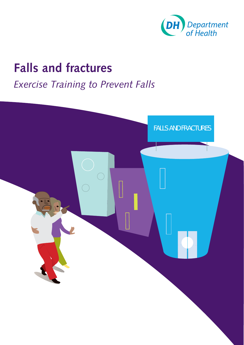

### **Falls and fractures**

### *Exercise Training to Prevent Falls*

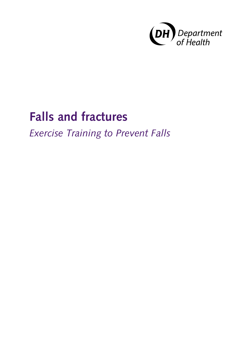

# **Falls and fractures**

*Exercise Training to Prevent Falls*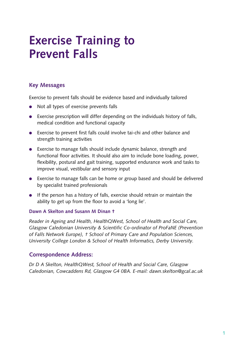# **Exercise Training to Prevent Falls**

#### **Key messages**

Exercise to prevent falls should be evidence based and individually tailored

- Not all types of exercise prevents falls
- Exercise prescription will differ depending on the individuals history of falls, medical condition and functional capacity
- Exercise to prevent first falls could involve tai-chi and other balance and strength training activities
- Exercise to manage falls should include dynamic balance, strength and functional floor activities. It should also aim to include bone loading, power, flexibility, postural and gait training, supported endurance work and tasks to improve visual, vestibular and sensory input
- Exercise to manage falls can be home or group based and should be delivered by specialist trained professionals
- If the person has a history of falls, exercise should retrain or maintain the ability to get up from the floor to avoid a 'long lie'.

#### Dawn A Skelton and Susann M Dinan <sup>+</sup>

*Reader in Ageing and Health, HealthQWest, School of Health and Social Care, Glasgow Caledonian University & Scientific Co-ordinator of ProFaNE (Prevention of Falls Network Europe), † School of Primary Care and Population Sciences, University College London & School of Health Informatics, Derby University.* 

#### **Correspondence address:**

*Dr D A Skelton, HealthQWest, School of Health and Social Care, Glasgow Caledonian, Cowcaddens Rd, Glasgow G4 0BA. E-mail: [dawn.skelton@gcal.ac.uk](mailto:dawn.skelton@gcal.ac.uk)*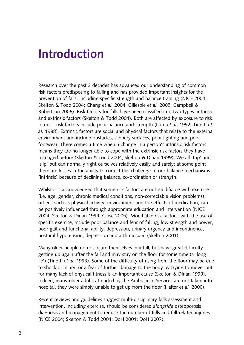### **Introduction**

Research over the past 3 decades has advanced our understanding of common risk factors predisposing to falling and has provided important insights for the prevention of falls, including specific strength and balance training (NICE 2004; Skelton & Todd 2004; Chang *et al.* 2004; Gillespie *et al.* 2005; Campbell & Robertson 2006). Risk factors for falls have been classified into two types: intrinsic and extrinsic factors (Skelton & Todd 2004). Both are affected by exposure to risk. Intrinsic risk factors include poor balance and strength (Lord *et al.* 1992; Tinetti *et al.* 1988). Extrinsic factors are social and physical factors that relate to the external environment and include obstacles, slippery surfaces, poor lighting and poor footwear. There comes a time when a change in a person's intrinsic risk factors means they are no longer able to cope with the extrinsic risk factors they have managed before (Skelton & Todd 2004; Skelton & Dinan 1999). We all 'trip' and 'slip' but can normally right ourselves relatively easily and safely; at some point there are losses in the ability to correct this challenge to our balance mechanisms (intrinsic) because of declining balance, co-ordination or strength.

Whilst it is acknowledged that some risk factors are not modifiable with exercise (i.e. age, gender, chronic medical conditions, non-correctable vision problems), others, such as physical activity, environment and the effects of medication, can be positively influenced through appropriate education and intervention (NICE 2004; Skelton & Dinan 1999; Close 2005). Modifiable risk factors, with the use of specific exercise, include poor balance and fear of falling, low strength and power, poor gait and functional ability, depression, urinary urgency and incontinence, postural hypotension, depression and arthritic pain (Skelton 2001).

Many older people do not injure themselves in a fall, but have great difficulty getting up again after the fall and may stay on the floor for some time (a 'long lie') (Tinetti *et al.* 1993). Some of the difficulty of rising from the floor may be due to shock or injury, or a fear of further damage to the body by trying to move, but for many lack of physical fitness is an important cause (Skelton & Dinan 1999). Indeed, many older adults attended by the Ambulance Services are not taken into hospital, they were simply unable to get up from the floor (Halter *et al.* 2000).

Recent reviews and guidelines suggest multi-disciplinary falls assessment and intervention, including exercise, should be considered *alongside* osteoporosis diagnosis and management to reduce the number of falls and fall-related injuries (NICE 2004; Skelton & Todd 2004; DoH 2001; DoH 2007).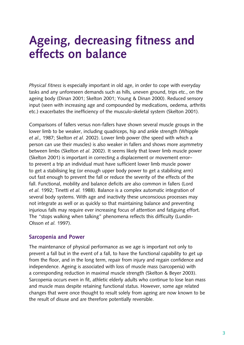### **ageing, decreasing fitness and effects on balance**

*Physical fitness* is especially important in old age, in order to cope with everyday tasks and any unforeseen demands such as hills, uneven ground, trips etc., on the ageing body (Dinan 2001; Skelton 2001; Young & Dinan 2000). Reduced sensory input (seen with increasing age and compounded by medications, oedema, arthritis etc.) exacerbates the inefficiency of the musculo-skeletal system (Skelton 2001).

Comparisons of fallers versus non-fallers have shown several muscle groups in the lower limb to be weaker, including quadriceps, hip and ankle strength (Whipple *et al.,* 1987; Skelton *et al.* 2002). Lower limb power (the speed with which a person can use their muscles) is also weaker in fallers and shows more asymmetry between limbs (Skelton *et al.* 2002). It seems likely that lower limb muscle power (Skelton 2001) is important in correcting a displacement or movement error– to prevent a trip an individual must have sufficient lower limb muscle power to get a stabilising leg (or enough upper body power to get a stabilising arm) out fast enough to prevent the fall or reduce the severity of the effects of the fall. Functional, mobility and balance deficits are also common in fallers (Lord *et al.* 1992; Tinetti *et al.* 1988). Balance is a complex automatic integration of several body systems. With age and inactivity these unconscious processes may not integrate as well or as quickly so that maintaining balance and preventing injurious falls may require ever increasing focus of attention and fatiguing effort. The "stops walking when talking" phenomena reflects this difficulty (Lundin-Olsson *et al.* 1997).

#### **Sarcopenia and Power**

The maintenance of physical performance as we age is important not only to prevent a fall but in the event of a fall, to have the functional capability to get up from the floor, and in the long term, repair from injury and regain confidence and independence. Ageing is associated with loss of muscle mass (sarcopenia) with a corresponding reduction in maximal muscle strength (Skelton & Beyer 2003). Sarcopenia occurs even in fit, athletic elderly adults who continue to lose lean mass and muscle mass despite retaining functional status. However, some age related changes that were once thought to result solely from ageing are now known to be the result of disuse and are therefore potentially reversible.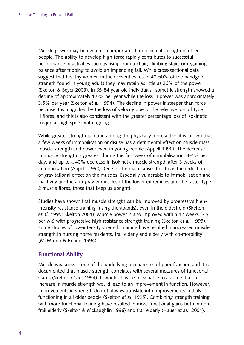Muscle power may be even more important than maximal strength in older people. The ability to develop high force rapidly contributes to successful performance in activities such as rising from a chair, climbing stairs or regaining balance after tripping to avoid an impending fall. While cross-sectional data suggest that healthy women in their seventies retain 40-50% of the handgrip strength found in young adults they may retain as little as 26% of the power (Skelton & Beyer 2003). In 65-84 year old individuals, isometric strength showed a decline of approximately 1.5% per year while the loss in power was approximately 3.5% per year (Skelton *et al.* 1994). The decline in power is steeper than force because it is magnified by the loss of velocity due to the selective loss of type II fibres, and this is also consistent with the greater percentage loss of isokinetic torque at high speed with ageing.

While greater strength is found among the physically more active it is known that a few weeks of immobilisation or disuse has a detrimental effect on muscle mass, muscle strength and power even in young people (Appell 1990). The decrease in muscle strength is greatest during the first week of immobilisation, 3-4% per day, and up to a 40% decrease in isokinetic muscle strength after 3 weeks of immobilisation (Appell, 1990). One of the main causes for this is the reduction of gravitational effect on the muscles. Especially vulnerable to immobilisation and inactivity are the anti-gravity muscles of the lower extremities and the faster type 2 muscle fibres, those that keep us upright!

Studies have shown that muscle strength can be improved by progressive highintensity resistance training (using therabands), even in the oldest old (Skelton *et al*. 1995; Skelton 2001). Muscle power is also improved within 12 weeks (3 x per wk) with progressive high resistance strength training (Skelton *et al,* 1995). Some studies of low-intensity strength training have resulted in increased muscle strength in nursing home residents, frail elderly and elderly with co-morbidity (McMurdo & Rennie 1994).

#### **Functional ability**

Muscle weakness is one of the underlying mechanisms of poor function and it is documented that muscle strength correlates with several measures of functional status (Skelton *et al.*, 1994). It would thus be reasonable to assume that an increase in muscle strength would lead to an improvement in function. However, improvements in strength do not always translate into improvements in daily functioning in all older people (Skelton *et al*. 1995). Combining strength training with more functional training have resulted in more functional gains both in nonfrail elderly (Skelton & McLaughlin 1996) and frail elderly (Hauer *et al.*, 2001).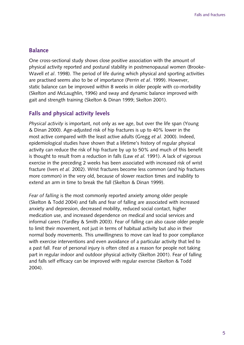#### **Balance**

One cross-sectional study shows close positive association with the amount of physical activity reported and postural stability in postmenopausal women (Brooke-Wavell *et al*. 1998). The period of life during which physical and sporting activities are practised seems also to be of importance (Perrin *et al*. 1999). However, static balance can be improved within 8 weeks in older people with co-morbidity (Skelton and McLaughlin, 1996) and sway and dynamic balance improved with gait and strength training (Skelton & Dinan 1999; Skelton 2001).

#### **Falls and physical activity levels**

*Physical activity* is important, not only as we age, but over the life span (Young & Dinan 2000). Age-adjusted risk of hip fractures is up to 40% lower in the most active compared with the least active adults (Gregg *et al.* 2000). Indeed, epidemiological studies have shown that a lifetime's history of regular physical activity can reduce the risk of hip fracture by up to 50% and much of this benefit is thought to result from a reduction in falls (Law *et al.* 1991). A lack of vigorous exercise in the preceding 2 weeks has been associated with increased risk of wrist fracture (Ivers *et al.* 2002). Wrist fractures become less common (and hip fractures more common) in the very old, because of slower reaction times and inability to extend an arm in time to break the fall (Skelton & Dinan 1999).

*Fear of falling* is the most commonly reported anxiety among older people (Skelton & Todd 2004) and falls and fear of falling are associated with increased anxiety and depression, decreased mobility, reduced social contact, higher medication use, and increased dependence on medical and social services and informal carers (Yardley & Smith 2003). Fear of falling can also cause older people to limit their movement, not just in terms of habitual activity but also in their normal body movements. This unwillingness to move can lead to poor compliance with exercise interventions and even avoidance of a particular activity that led to a past fall. Fear of personal injury is often cited as a reason for people not taking part in regular indoor and outdoor physical activity (Skelton 2001). Fear of falling and falls self efficacy can be improved with regular exercise (Skelton & Todd 2004).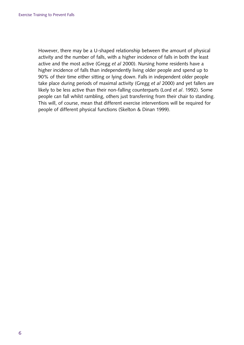However, there may be a U-shaped relationship between the amount of physical activity and the number of falls, with a higher incidence of falls in both the least active and the most active (Gregg *et al* 2000). Nursing home residents have a higher incidence of falls than independently living older people and spend up to 90% of their time either sitting or lying down. Falls in independent older people take place during periods of maximal activity (Gregg *et al* 2000) and yet fallers are likely to be less active than their non-falling counterparts (Lord *et al*. 1992). Some people can fall whilst rambling, others just transferring from their chair to standing. This will, of course, mean that different exercise interventions will be required for people of different physical functions (Skelton & Dinan 1999).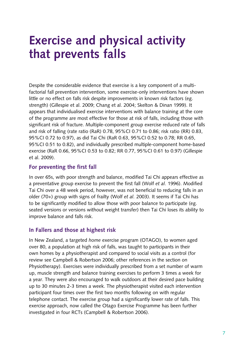### **exercise and physical activity that prevents falls**

Despite the considerable evidence that exercise is a key component of a multifactorial fall prevention intervention, some exercise-only interventions have shown little or no effect on falls risk despite improvements in known risk factors (eg. strength) (Gillespie et al. 2009; Chang et al. 2004; Skelton & Dinan 1999). It appears that individualised exercise interventions with balance training at the core of the programme are most effective for those at risk of falls, including those with significant risk of fracture. Multiple-component group exercise reduced rate of falls and risk of falling (rate ratio (RaR) 0.78, 95%CI 0.71 to 0.86; risk ratio (RR) 0.83, 95%CI 0.72 to 0.97), as did Tai Chi (RaR 0.63, 95%CI 0.52 to 0.78; RR 0.65, 95%CI 0.51 to 0.82), and individually prescribed multiple-component home-based exercise (RaR 0.66, 95%CI 0.53 to 0.82; RR 0.77, 95%CI 0.61 to 0.97) (Gillespie et al. 2009).

#### **For preventing the first fall**

In over 65s, with poor strength and balance, modified Tai Chi appears effective as a preventative group exercise to prevent the first fall (Wolf *et al.* 1996). Modified Tai Chi over a 48 week period, however, was not beneficial to reducing falls in an older (70+) group with signs of frailty (Wolf *et al.* 2003). It seems if Tai Chi has to be significantly modified to allow those with poor balance to participate (eg. seated versions or versions without weight transfer) then Tai Chi loses its ability to improve balance and falls risk.

#### **In Fallers and those at highest risk**

In New Zealand, a targeted *home* exercise program (OTAGO), to women aged over 80, a population at high risk of falls, was taught to participants in their own homes by a physiotherapist and compared to social visits as a control (for review see Campbell & Robertson 2006; other references in the section on Physiotherapy). Exercises were individually prescribed from a set number of warm up, muscle strength and balance training exercises to perform 3 times a week for a year. They were also encouraged to walk outdoors at their desired pace building up to 30 minutes 2-3 times a week. The physiotherapist visited each intervention participant four times over the first two months following on with regular telephone contact. The exercise group had a significantly lower rate of falls. This exercise approach, now called the Otago Exercise Programme has been further investigated in four RCTs (Campbell & Robertson 2006).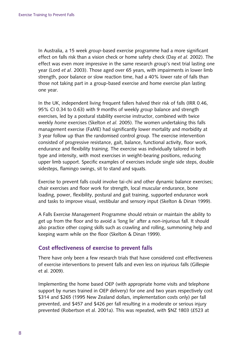In Australia, a 15 week *group*-based exercise programme had a more significant effect on falls risk than a vision check or home safety check (Day *et al.* 2002). The effect was even more impressive in the same research group's next trial lasting one year (Lord *et al*. 2003). Those aged over 65 years, with impairments in lower limb strength, poor balance or slow reaction time, had a 40% lower rate of falls than those not taking part in a group-based exercise and home exercise plan lasting one year.

In the UK, independent living frequent fallers halved their risk of falls (IRR 0.46, 95% CI 0.34 to 0.63) with 9 months of weekly *group* balance and strength exercises, led by a postural stability exercise instructor, combined with twice weekly *home* exercises (Skelton *et al.* 2005). The women undertaking this falls management exercise (FaME) had significantly lower mortality and morbidity at 3 year follow up than the randomised control group. The exercise intervention consisted of progressive resistance, gait, balance, functional activity, floor work, endurance and flexibility training. The exercise was individually tailored in both type and intensity, with most exercises in weight-bearing positions, reducing upper limb support. Specific examples of exercises include single side steps, double sidesteps, flamingo swings, sit to stand and squats.

Exercise to prevent falls could involve tai-chi and other dynamic balance exercises; chair exercises and floor work for strength, local muscular endurance, bone loading, power, flexibility, postural and gait training, supported endurance work and tasks to improve visual, vestibular and sensory input (Skelton & Dinan 1999).

A Falls Exercise Management Programme should retrain or maintain the ability to get up from the floor and to avoid a 'long lie' after a non-injurious fall. It should also practice other coping skills such as crawling and rolling, summoning help and keeping warm while on the floor (Skelton & Dinan 1999).

#### **Cost effectiveness of exercise to prevent falls**

There have only been a few research trials that have considered cost effectiveness of exercise interventions to prevent falls and even less on injurious falls (Gillespie et al. 2009).

Implementing the home based OEP (with appropriate home visits and telephone support by nurses trained in OEP delivery) for one and two years respectively cost \$314 and \$265 (1995 New Zealand dollars, implementation costs only) per fall prevented, and \$457 and \$426 per fall resulting in a moderate or serious injury prevented (Robertson et al. 2001a). This was repeated, with \$NZ 1803 (£523 at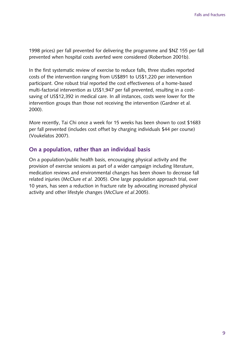1998 prices) per fall prevented for delivering the programme and \$NZ 155 per fall prevented when hospital costs averted were considered (Robertson 2001b).

In the first systematic review of exercise to reduce falls, three studies reported costs of the intervention ranging from US\$891 to US\$1,220 per intervention participant. One robust trial reported the cost effectiveness of a home-based multi-factorial intervention as US\$1,947 per fall prevented, resulting in a costsaving of US\$12,392 in medical care. In all instances, costs were lower for the intervention groups than those not receiving the intervention (Gardner et al. 2000).

More recently, Tai Chi once a week for 15 weeks has been shown to cost \$1683 per fall prevented (includes cost offset by charging individuals \$44 per course) (Voukelatos 2007).

#### **on a population, rather than an individual basis**

On a population/public health basis, encouraging physical activity and the provision of exercise sessions as part of a wider campaign including literature, medication reviews and environmental changes has been shown to decrease fall related injuries (McClure *et al.* 2005). One large population approach trial, over 10 years, has seen a reduction in fracture rate by advocating increased physical activity and other lifestyle changes (McClure *et al*.2005).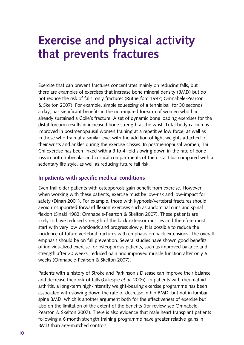# **exercise and physical activity that prevents fractures**

 Exercise that can prevent fractures concentrates mainly on reducing falls, but & Skelton 2007). For example, simple squeezing of a tennis ball for 30 seconds a day, has significant benefits in the non-injured forearm of women who had in those who train at a similar level with the addition of light weights attached to their wrists and ankles during the exercise classes. In postmenopausal women, Tai Chi exercise has been linked with a 3 to 4-fold slowing down in the rate of bone sedentary life style, as well as reducing future fall risk. there are examples of exercises that increase bone mineral density (BMD) but do not reduce the risk of falls, only fractures (Rutherford 1997; Omnabele-Pearson already sustained a Colle's fracture. A set of dynamic bone loading exercises for the distal forearm results in increased bone strength at the wrist. Total body calcium is improved in postmenopausal women training at a repetitive low force, as well as loss in both trabecular and cortical compartments of the distal tibia compared with a

#### **In patients with specific medical conditions**

 Even frail older patients with osteoporosis gain benefit from exercise. However, when working with these patients, exercise must be low-risk and low-impact for safety (Dinan 2001). For example, those with kyphosis/vertebral fractures should avoid unsupported forward flexion exercises such as abdominal curls and spinal flexion (Sinaki 1982; Omnabele-Pearson & Skelton 2007). These patients are of individualized exercise for osteoporosis patients, such as improved balance and likely to have reduced strength of the back extensor muscles and therefore must start with very low workloads and progress slowly. It is possible to reduce the incidence of future vertebral fractures with emphasis on back extensions. The overall emphasis should be on fall prevention. Several studies have shown good benefits strength after 20 weeks, reduced pain and improved muscle function after only 6 weeks (Omnabele-Pearson & Skelton 2007).

 Patients with a history of Stroke and Parkinson's Disease can improve their balance arthritis, a long-term high-intensity weight-bearing exercise programme has been Pearson & Skelton 2007). There is also evidence that male heart transplant patients following a 6 month strength training programme have greater relative gains in and decrease their risk of falls (Gillespie *et al.* 2005). In patients with rheumatoid associated with slowing down the rate of decrease in hip BMD, but not in lumbar spine BMD, which is another argument both for the effectiveness of exercise but also on the limitation of the extent of the benefits (for review see Omnabele-BMD than age-matched controls.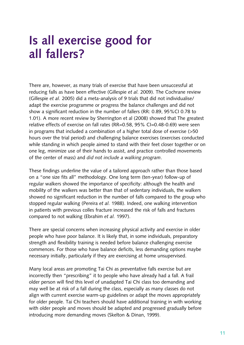# **Is all exercise good for all fallers?**

There are, however, as many trials of exercise that have been unsuccessful at reducing falls as have been effective (Gillespie *et al.* 2009). The Cochrane review (Gillespie *et al.* 2005) did a meta-analysis of 9 trials that did not individualise/ adapt the exercise programme or progress the balance challenges and did not show a significant reduction in the number of fallers (RR: 0.89, 95%CI 0.78 to 1.01). A more recent review by Sherrington et al (2008) showed that The greatest relative effects of exercise on fall rates (RR=0.58, 95% CI=0.48-0.69) were seen in programs that included a combination of a higher total dose of exercise (>50 hours over the trial period) and challenging balance exercises (exercises conducted while standing in which people aimed to stand with their feet closer together or on one leg, minimize use of their hands to assist, and practice controlled movements of the center of mass) and *did not include a walking program*.

These findings underline the value of a tailored approach rather than those based on a "one size fits all" methodology. One long term (ten-year) follow-up of regular walkers showed the importance of specificity: although the health and mobility of the walkers was better than that of sedentary individuals, the walkers showed no significant reduction in the number of falls compared to the group who stopped regular walking (Pereira *et al.* 1988). Indeed, one walking intervention in patients with previous colles fracture increased the risk of falls and fractures compared to not walking (Ebrahim *et al.* 1997).

There are special concerns when increasing physical activity and exercise in older people who have poor balance. It is likely that, in some individuals, preparatory strength and flexibility training is needed before balance challenging exercise commences. For those who have balance deficits, less demanding options maybe necessary initially, particularly if they are exercising at home unsupervised.

Many local areas are promoting Tai Chi as preventative falls exercise but are incorrectly then "prescribing" it to people who have already had a fall. A frail older person will find this level of unadapted Tai Chi class too demanding and may well be at risk of a fall during the class, especially as many classes do not align with current exercise warm-up guidelines or adapt the moves appropriately for older people. Tai Chi teachers should have additional training in with working with older people and moves should be adapted and progressed gradually before introducing more demanding moves (Skelton & Dinan, 1999).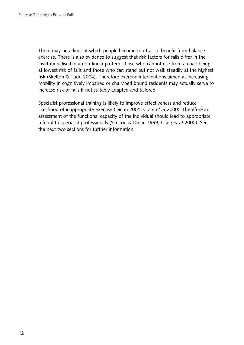There may be a limit at which people become too frail to benefit from balance exercise. There is also evidence to suggest that risk factors for falls differ in the institutionalised in a non-linear pattern, those who cannot rise from a chair being at lowest risk of falls and those who can stand but not walk steadily at the highest risk (Skelton & Todd 2004). Therefore exercise interventions aimed at increasing mobility in cognitively impaired or chair/bed bound residents may actually serve to increase risk of falls if not suitably adapted and tailored.

Specialist professional training is likely to improve effectiveness and reduce likelihood of inappropriate exercise (Dinan 2001; Craig *et al* 2000). Therefore an assessment of the functional capacity of the individual should lead to appropriate referral to specialist professionals (Skelton & Dinan 1999; Craig *et al* 2000). See the next two sections for further information.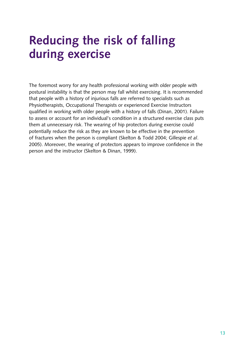# **Reducing the risk of falling during exercise**

The foremost worry for any health professional working with older people with postural instability is that the person may fall whilst exercising. It is recommended that people with a history of injurious falls are referred to specialists such as Physiotherapists, Occupational Therapists or experienced Exercise Instructors qualified in working with older people with a history of falls (Dinan, 2001). Failure to assess or account for an individual's condition in a structured exercise class puts them at unnecessary risk. The wearing of hip protectors during exercise could potentially reduce the risk as they are known to be effective in the prevention of fractures when the person is compliant (Skelton & Todd 2004; Gillespie *et al*. 2005). Moreover, the wearing of protectors appears to improve confidence in the person and the instructor (Skelton & Dinan, 1999).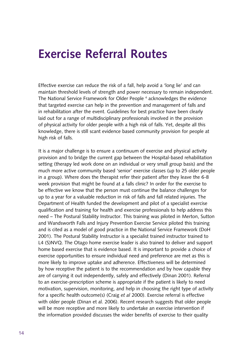### **Exercise Referral Routes**

Effective exercise can reduce the risk of a fall, help avoid a 'long lie' and can maintain threshold levels of strength and power necessary to remain independent. The National Service Framework for Older People 4 acknowledges the evidence that targeted exercise can help in the prevention and management of falls and in rehabilitation after the event. Guidelines for best practice have been clearly laid out for a range of multidisciplinary professionals involved in the provision of physical activity for older people with a high risk of falls. Yet, despite all this knowledge, there is still scant evidence based community provision for people at high risk of falls.

It is a major challenge is to ensure a continuum of exercise and physical activity provision and to bridge the current gap between the Hospital-based rehabilitation setting (therapy led work done on an individual or very small group basis) and the much more active community based 'senior' exercise classes (up to 25 older people in a group). Where does the therapist refer their patient after they leave the 6-8 week provision that might be found at a falls clinic? In order for the exercise to be effective we know that the person must continue the balance challenges for up to a year for a valuable reduction in risk of falls and fall related injuries. The Department of Health funded the development and pilot of a specialist exercise qualification and training for health and exercise professionals to help address this need – The Postural Stability Instructor. This training was piloted in Merton, Sutton and Wandsworth Falls and Injury Prevention Exercise Service piloted this training and is cited as a model of good practice in the National Service Framework (DoH 2001). The Postural Stability Instructor is a specialist trained instructor trained to L4 (S)NVQ. The Otago home exercise leader is also trained to deliver and support home based exercise that is evidence based. It is important to provide a choice of exercise opportunities to ensure individual need and preference are met as this is more likely to improve uptake and adherence. Effectiveness will be determined by how receptive the patient is to the recommendation and by how capable they are of carrying it out independently, safely and effectively (Dinan 2001). Referral to an exercise-prescription scheme is appropriate if the patient is likely to need motivation, supervision, monitoring, and help in choosing the right type of activity for a specific health outcome(s) (Craig *et al* 2000). Exercise referral is effective with older people (Dinan et al. 2006). Recent research suggests that older people will be more receptive and more likely to undertake an exercise intervention if the information provided discusses the wider benefits of exercise to their quality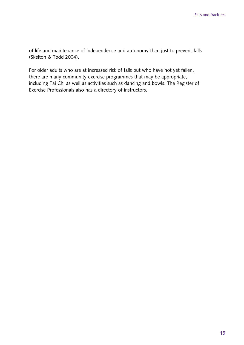of life and maintenance of independence and autonomy than just to prevent falls (Skelton & Todd 2004).

For older adults who are at increased risk of falls but who have not yet fallen, there are many community exercise programmes that may be appropriate, including Tai Chi as well as activities such as dancing and bowls. The Register of Exercise Professionals also has a directory of instructors.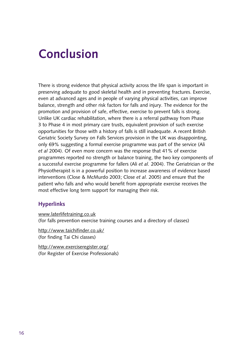# **Conclusion**

There is strong evidence that physical activity across the life span is important in preserving adequate to good skeletal health and in preventing fractures. Exercise, even at advanced ages and in people of varying physical activities, can improve balance, strength and other risk factors for falls and injury. The evidence for the promotion and provision of safe, effective, exercise to prevent falls is strong. Unlike UK cardiac rehabilitation, where there is a referral pathway from Phase 3 to Phase 4 in most primary care trusts, equivalent provision of such exercise opportunities for those with a history of falls is still inadequate. A recent British Geriatric Society Survey on Falls Services provision in the UK was disappointing, only 69% suggesting a formal exercise programme was part of the service (Ali *et al* 2004). Of even more concern was the response that 41% of exercise programmes reported no strength or balance training, the two key components of a successful exercise programme for fallers (Ali *et al.* 2004). The Geriatrician or the Physiotherapist is in a powerful position to increase awareness of evidence based interventions (Close & McMurdo 2003; Close *et al.* 2005) and ensure that the patient who falls and who would benefit from appropriate exercise receives the most effective long term support for managing their risk.

#### **Hyperlinks**

[www.laterlifetraining.co.uk](http://www.laterlifetraining.co.uk) 

(for falls prevention exercise training courses and a directory of classes)

<http://www.taichifinder.co.uk/>(for finding Tai Chi classes)

<http://www.exerciseregister.org/>(for Register of Exercise Professionals)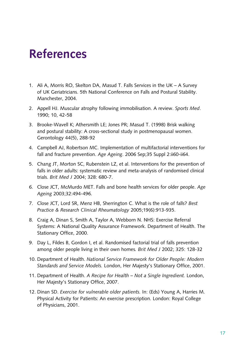# **References**

- 1. Ali A, Morris RO, Skelton DA, Masud T. Falls Services in the UK A Survey of UK Geriatricians. 5th National Conference on Falls and Postural Stability. Manchester, 2004.
- 2. Appell HJ. Muscular atrophy following immobilisation. A review. *Sports Med*. 1990; 10, 42-58
- 3. Brooke-Wavell K; Athersmith LE; Jones PR; Masud T. (1998) Brisk walking and postural stability: A cross-sectional study in postmenopausal women. Gerontology 44(5), 288-92
- 4. Campbell AJ, Robertson MC. Implementation of multifactorial interventions for fall and fracture prevention. *Age Ageing*. 2006 Sep;35 Suppl 2:ii60-ii64.
- 5. Chang JT, Morton SC, Rubenstein LZ, et al. Interventions for the prevention of falls in older adults: systematic review and meta-analysis of randomised clinical trials. *Brit Med J* 2004; 328: 680-7.
- 6. Close JCT, McMurdo MET. Falls and bone health services for older people. *Age Ageing* 2003;32:494-496.
- 7. Close JCT, Lord SR, Menz HB, Sherrington C. What is the role of falls? *Best Practice & Research Clinical Rheumatology* 2005;19(6):913-935.
- 8. Craig A, Dinan S, Smith A, Taylor A, Webborn N. NHS: Exercise Referral Systems: A National Quality Assurance Framework. Department of Health. The Stationary Office, 2000.
- 9. Day L, Fildes B, Gordon I, et al. Randomised factorial trial of falls prevention among older people living in their own homes*. Brit Med J* 2002; 325: 128-32
- 10. Department of Health. *National Service Framework for Older People: Modern Standards and Service Models.* London, Her Majesty's Stationary Office, 2001.
- 11. Department of Health. *A Recipe for Health Not a Single Ingredient.* London, Her Majesty's Stationary Office, 2007.
- 12. Dinan SD. *Exercise for vulnerable older patients.* In: (Eds) Young A, Harries M. Physical Activity for Patients: An exercise prescription. London: Royal College of Physicians, 2001.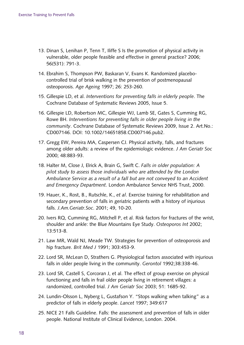- 13. Dinan S, Lenihan P, Tenn T, Iliffe S Is the promotion of physical activity in vulnerable, older people feasible and effective in general practice? 2006; 56(531): 791-3.
- 14. Ebrahim S, Thompson PW, Baskaran V, Evans K. Randomized placebocontrolled trial of brisk walking in the prevention of postmenopausal osteoporosis. *Age Ageing* 1997; 26: 253-260.
- 15. Gillespie LD, et al. *Interventions for preventing falls in elderly people*. The Cochrane Database of Systematic Reviews 2005, Issue 5.
- 16. Gillespie LD, Robertson MC, Gillespie WJ, Lamb SE, Gates S, Cumming RG, Rowe BH. *Interventions for preventing falls in older people living in the community*. Cochrane Database of Systematic Reviews 2009, Issue 2. Art.No.: CD007146. DOI: 10.1002/14651858.CD007146.pub2.
- 17. Gregg EW, Pereira MA, Caspersen CJ. Physical activity, falls, and fractures among older adults: a review of the epidemiologic evidence. *J Am Geriatr Soc*  2000; 48:883-93.
- 18. Halter M, Close J, Elrick A, Brain G, Swift C. *Falls in older population: A pilot study to assess those individuals who are attended by the London Ambulance Service as a result of a fall but are not conveyed to an Accident and Emergency Department*. London Ambulance Service NHS Trust, 2000.
- 19. Hauer, K., Rost, B., Rutschle, K., *et al*. Exercise training for rehabilitation and secondary prevention of falls in geriatric patients with a history of injurious falls. *J.Am.Geriatr.Soc*. 2001; 49, 10-20.
- 20. Ivers RQ, Cumming RG, Mitchell P, et al. Risk factors for fractures of the wrist, shoulder and ankle: the Blue Mountains Eye Study. *Osteoporos Int* 2002; 13:513-8.
- 21. Law MR, Wald NJ, Meade TW. Strategies for prevention of osteoporosis and hip fracture. *Brit Med J* 1991; 303:453-9.
- 22. Lord SR, McLean D, Strathers G. Physiological factors associated with injurious falls in older people living in the community. *Gerontol* 1992;38:338-46.
- 23. Lord SR, Castell S, Corcoran J, et al. The effect of group exercise on physical functioning and falls in frail older people living in retirement villages: a randomized, controlled trial. *J Am Geriatr Soc* 2003; 51: 1685-92.
- 24. Lundin-Olsson L, Nyberg L, Gustafson Y. "Stops walking when talking" as a predictor of falls in elderly people. *Lancet* 1997; 349:617
- 25. NICE 21 Falls Guideline. Falls: the assessment and prevention of falls in older people. National Institute of Clinical Evidence, London. 2004.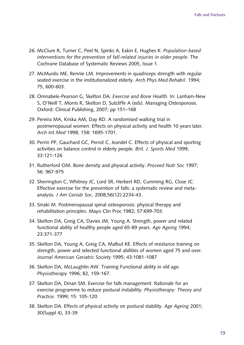- 26. McClure R, Turner C, Peel N, Spinks A, Eakin E, Hughes K. *Population-based interventions for the prevention of fall-related injuries in older people.* The Cochrane Database of Systematic Reviews 2005, Issue 1.
- 27. McMurdo ME, Rennie LM. Improvements in quadriceps strength with regular seated exercise in the institutionalized elderly. *Arch.Phys.Med.Rehabil*. 1994; 75, 600-603.
- 28. Omnabele-Pearson G, Skelton DA. *Exercise and Bone Health*. In: Lanham-New S, O'Neill T, Morris R, Skelton D, Sutcliffe A (eds). Managing Osteoporosis. Oxford: Clinical Publishing, 2007; pp 151–168
- 29. Pereira MA, Kriska AM, Day RD. A randomised walking trial in postmenopausal women: Effects on physical activity and health 10 years later. *Arch Int Med* 1998; 158: 1695-1701.
- 30. Perrin PP, Gauchard GC, Perrot C, Jeandel C. Effects of physical and sporting activities on balance control in elderly people. *Brit. J. Sports Med* 1999; 33:121-126
- 31. Rutherford OM. Bone density and physical activity. *Proceed Nutr Soc* 1997; 56: 967-975
- 32. Sherrington C, Whitney JC, Lord SR, Herbert RD, Cumming RG, Close JC. Effective exercise for the prevention of falls: a systematic review and metaanalysis. *J Am Geriatr Soc*. 2008;56(12):2234-43.
- 33. Sinaki M. Postmenopausal spinal osteoporosis: physical therapy and rehabilitation principles. Mayo Clin Proc 1982; 57:699-703.
- 34. Skelton DA, Greig CA, Davies JM, Young A. Strength, power and related functional ability of healthy people aged 65-89 years. *Age Ageing* 1994; 23:371-377
- 35. Skelton DA, Young A, Greig CA, Malbut KE. Effects of resistance training on strength, power and selected functional abilities of women aged 75 and over. *Journal American Geriatric Society* 1995; 43:1081-1087
- 36. Skelton DA, McLaughlin AW. Training Functional ability in old age. *Physiotherapy* 1996; 82, 159-167.
- 37. Skelton DA, Dinan SM. Exercise for falls management: Rationale for an exercise programme to reduce postural instability. *Physiotherapy: Theory and Practice*. 1999; 15: 105-120.
- 38. Skelton DA. Effects of physical activity on postural stability. *Age Ageing* 2001; 30(Suppl 4), 33-39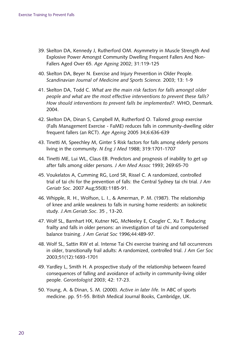- 39. Skelton DA, Kennedy J, Rutherford OM. Asymmetry in Muscle Strength And Explosive Power Amongst Community Dwelling Frequent Fallers And Non-Fallers Aged Over 65. *Age Ageing* 2002; 31:119-125
- 40. Skelton DA, Beyer N. Exercise and Injury Prevention in Older People. *Scandinavian Journal of Medicine and Sports Science.* 2003; 13: 1-9
- 41. Skelton DA, Todd C. *What are the main risk factors for falls amongst older people and what are the most effective interventions to prevent these falls? How should interventions to prevent falls be implemented?.* WHO, Denmark. 2004.
- 42. Skelton DA, Dinan S, Campbell M, Rutherford O. Tailored group exercise (Falls Management Exercise - FaME) reduces falls in community-dwelling older frequent fallers (an RCT). *Age Ageing* 2005 34;6:636-639
- 43. Tinetti M, Speechley M, Ginter S Risk factors for falls among elderly persons living in the community. *N Eng J Med* 1988; 319:1701-1707
- 44. Tinetti ME, Lui WL, Claus EB. Predictors and prognosis of inability to get up after falls among older persons. *J Am Med Assoc* 1993; 269:65-70
- 45. Voukelatos A, Cumming RG, Lord SR, Rissel C. A randomized, controlled trial of tai chi for the prevention of falls: the Central Sydney tai chi trial. *J Am Geriatr Soc*. 2007 Aug;55(8):1185-91.
- 46. Whipple, R. H., Wolfson, L. I., & Amerman, P. M. (1987). The relationship of knee and ankle weakness to falls in nursing home residents: an isokinetic study. *J.Am.Geriatr.Soc*. 35 , 13-20.
- 47. Wolf SL, Barnhart HX, Kutner NG, McNeeley E, Coogler C, Xu T. Reducing frailty and falls in older persons: an investigation of tai chi and computerised balance training. *J Am Geriat Soc* 1996;44:489-97.
- 48. Wolf SL, Sattin RW et al. Intense Tai Chi exercise training and fall occurrences in older, transitionally frail adults: A randomized, controlled trial. *J Am Ger Soc*  2003;51(12):1693-1701
- 49. Yardley L, Smith H. A prospective study of the relationship between feared consequences of falling and avoidance of activity in community-living older people. *Gerontologist* 2003; 42: 17-23.
- 50. Young, A. & Dinan, S. M. (2000). *Active in later life.* In ABC of sports medicine. pp. 51-55. British Medical Journal Books, Cambridge, UK.